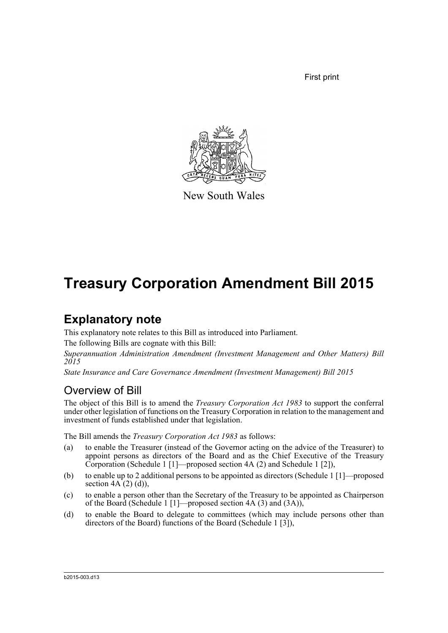First print



New South Wales

# **Treasury Corporation Amendment Bill 2015**

### **Explanatory note**

This explanatory note relates to this Bill as introduced into Parliament.

The following Bills are cognate with this Bill:

*Superannuation Administration Amendment (Investment Management and Other Matters) Bill 2015*

*State Insurance and Care Governance Amendment (Investment Management) Bill 2015*

### Overview of Bill

The object of this Bill is to amend the *Treasury Corporation Act 1983* to support the conferral under other legislation of functions on the Treasury Corporation in relation to the management and investment of funds established under that legislation.

The Bill amends the *Treasury Corporation Act 1983* as follows:

- (a) to enable the Treasurer (instead of the Governor acting on the advice of the Treasurer) to appoint persons as directors of the Board and as the Chief Executive of the Treasury Corporation (Schedule 1 [1]—proposed section 4A (2) and Schedule 1 [2]),
- (b) to enable up to 2 additional persons to be appointed as directors (Schedule 1 [1]—proposed section  $4A(2)(d)$ ,
- (c) to enable a person other than the Secretary of the Treasury to be appointed as Chairperson of the Board (Schedule 1 [1]—proposed section 4A (3) and (3A)),
- (d) to enable the Board to delegate to committees (which may include persons other than directors of the Board) functions of the Board (Schedule 1 [31].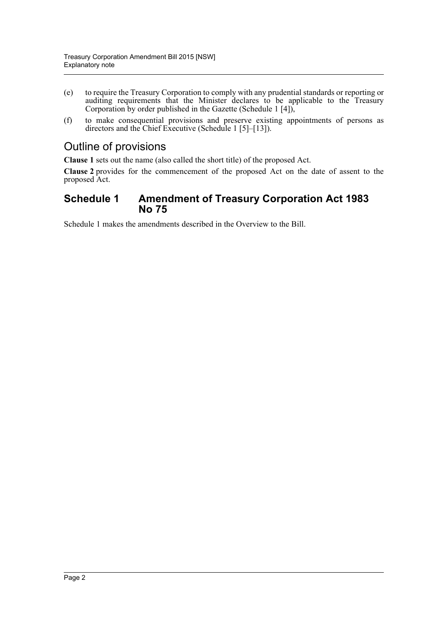- (e) to require the Treasury Corporation to comply with any prudential standards or reporting or auditing requirements that the Minister declares to be applicable to the Treasury Corporation by order published in the Gazette (Schedule 1 [4]),
- (f) to make consequential provisions and preserve existing appointments of persons as directors and the Chief Executive (Schedule 1 [5]–[13]).

### Outline of provisions

**Clause 1** sets out the name (also called the short title) of the proposed Act.

**Clause 2** provides for the commencement of the proposed Act on the date of assent to the proposed Act.

### **Schedule 1 Amendment of Treasury Corporation Act 1983 No 75**

Schedule 1 makes the amendments described in the Overview to the Bill.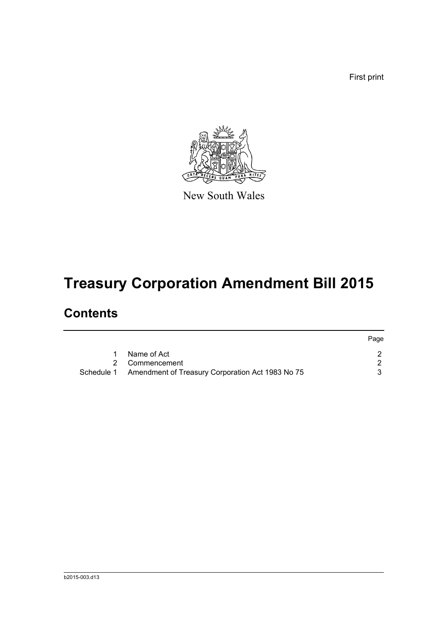First print



New South Wales

# **Treasury Corporation Amendment Bill 2015**

## **Contents**

|                                                             | Page |
|-------------------------------------------------------------|------|
| Name of Act                                                 |      |
| 2 Commencement                                              |      |
| Schedule 1 Amendment of Treasury Corporation Act 1983 No 75 |      |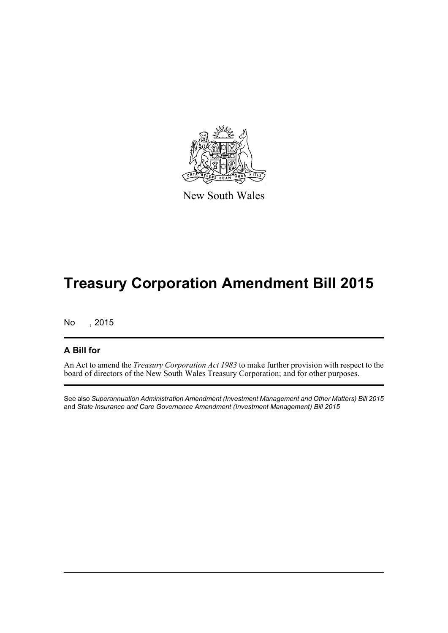

New South Wales

## **Treasury Corporation Amendment Bill 2015**

No , 2015

#### **A Bill for**

An Act to amend the *Treasury Corporation Act 1983* to make further provision with respect to the board of directors of the New South Wales Treasury Corporation; and for other purposes.

See also *Superannuation Administration Amendment (Investment Management and Other Matters) Bill 2015* and *State Insurance and Care Governance Amendment (Investment Management) Bill 2015*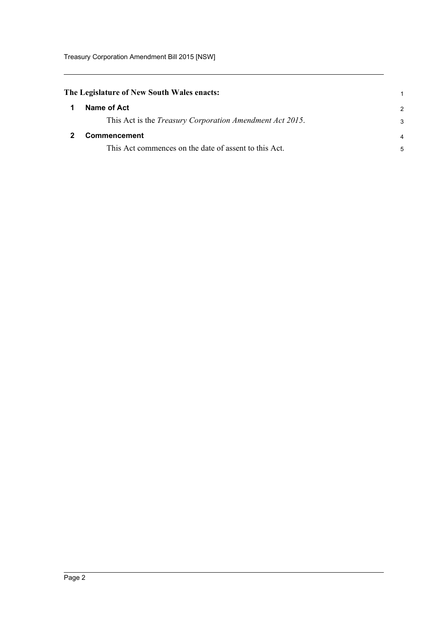<span id="page-4-1"></span><span id="page-4-0"></span>

|   | The Legislature of New South Wales enacts:                       |                |  |
|---|------------------------------------------------------------------|----------------|--|
| 1 | Name of Act                                                      | $\overline{2}$ |  |
|   | This Act is the <i>Treasury Corporation Amendment Act 2015</i> . | 3              |  |
|   | Commencement                                                     |                |  |
|   | This Act commences on the date of assent to this Act.            | 5              |  |
|   |                                                                  |                |  |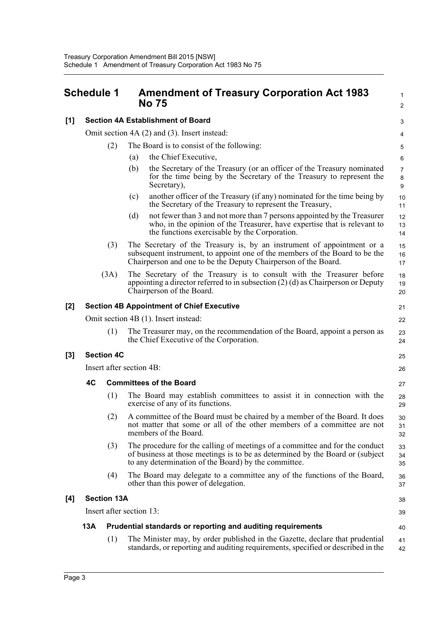<span id="page-5-0"></span>

|       | <b>Schedule 1</b>                                |                   |                                           | <b>Amendment of Treasury Corporation Act 1983</b><br>No 75                                                                                                                                                              | 1<br>2         |
|-------|--------------------------------------------------|-------------------|-------------------------------------------|-------------------------------------------------------------------------------------------------------------------------------------------------------------------------------------------------------------------------|----------------|
| [1]   | <b>Section 4A Establishment of Board</b>         |                   |                                           | 3                                                                                                                                                                                                                       |                |
|       | Omit section 4A (2) and (3). Insert instead:     |                   |                                           |                                                                                                                                                                                                                         | 4              |
|       | (2)                                              |                   | The Board is to consist of the following: |                                                                                                                                                                                                                         | 5              |
|       |                                                  |                   | (a)                                       | the Chief Executive,                                                                                                                                                                                                    | 6              |
|       |                                                  |                   | (b)                                       | the Secretary of the Treasury (or an officer of the Treasury nominated<br>for the time being by the Secretary of the Treasury to represent the<br>Secretary),                                                           | 7<br>8<br>9    |
|       |                                                  |                   | (c)                                       | another officer of the Treasury (if any) nominated for the time being by<br>the Secretary of the Treasury to represent the Treasury,                                                                                    | 10<br>11       |
|       |                                                  |                   | (d)                                       | not fewer than 3 and not more than 7 persons appointed by the Treasurer<br>who, in the opinion of the Treasurer, have expertise that is relevant to<br>the functions exercisable by the Corporation.                    | 12<br>13<br>14 |
|       |                                                  | (3)               |                                           | The Secretary of the Treasury is, by an instrument of appointment or a<br>subsequent instrument, to appoint one of the members of the Board to be the<br>Chairperson and one to be the Deputy Chairperson of the Board. | 15<br>16<br>17 |
|       |                                                  | (3A)              |                                           | The Secretary of the Treasury is to consult with the Treasurer before<br>appointing a director referred to in subsection $(2)$ (d) as Chairperson or Deputy<br>Chairperson of the Board.                                | 18<br>19<br>20 |
| [2]   | <b>Section 4B Appointment of Chief Executive</b> |                   |                                           | 21                                                                                                                                                                                                                      |                |
|       | Omit section 4B (1). Insert instead:             |                   |                                           |                                                                                                                                                                                                                         | 22             |
|       |                                                  | (1)               |                                           | The Treasurer may, on the recommendation of the Board, appoint a person as<br>the Chief Executive of the Corporation.                                                                                                   | 23<br>24       |
| $[3]$ |                                                  | <b>Section 4C</b> |                                           |                                                                                                                                                                                                                         | 25             |
|       | Insert after section 4B:                         |                   |                                           | 26                                                                                                                                                                                                                      |                |
|       | 4C                                               |                   |                                           | <b>Committees of the Board</b>                                                                                                                                                                                          | 27             |
|       |                                                  | (1)               |                                           | The Board may establish committees to assist it in connection with the<br>exercise of any of its functions.                                                                                                             | 28<br>29       |
|       |                                                  | (2)               |                                           | A committee of the Board must be chaired by a member of the Board. It does<br>not matter that some or all of the other members of a committee are not<br>members of the Board.                                          | 30<br>31<br>32 |
|       |                                                  | (3)               |                                           | The procedure for the calling of meetings of a committee and for the conduct<br>of business at those meetings is to be as determined by the Board or (subject)<br>to any determination of the Board) by the committee.  | 33<br>34<br>35 |
|       |                                                  | (4)               |                                           | The Board may delegate to a committee any of the functions of the Board,<br>other than this power of delegation.                                                                                                        | 36<br>37       |

#### **[4] Section 13A**

Insert after section 13:

#### **13A Prudential standards or reporting and auditing requirements**

(1) The Minister may, by order published in the Gazette, declare that prudential standards, or reporting and auditing requirements, specified or described in the 41 42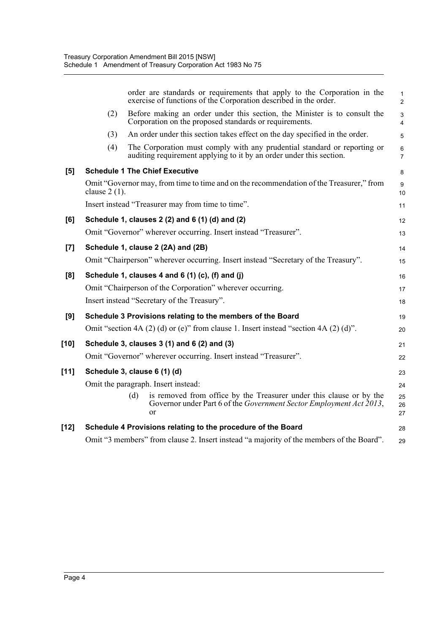|       |                 | order are standards or requirements that apply to the Corporation in the<br>exercise of functions of the Corporation described in the order.            | $\mathbf{1}$<br>$\overline{2}$ |
|-------|-----------------|---------------------------------------------------------------------------------------------------------------------------------------------------------|--------------------------------|
|       | (2)             | Before making an order under this section, the Minister is to consult the<br>Corporation on the proposed standards or requirements.                     | 3<br>$\overline{4}$            |
|       | (3)             | An order under this section takes effect on the day specified in the order.                                                                             | 5                              |
|       | (4)             | The Corporation must comply with any prudential standard or reporting or<br>auditing requirement applying to it by an order under this section.         | 6<br>$\overline{7}$            |
| [5]   |                 | <b>Schedule 1 The Chief Executive</b>                                                                                                                   | 8                              |
|       | clause $2(1)$ . | Omit "Governor may, from time to time and on the recommendation of the Treasurer," from                                                                 | 9<br>10                        |
|       |                 | Insert instead "Treasurer may from time to time".                                                                                                       | 11                             |
| [6]   |                 | Schedule 1, clauses 2 (2) and 6 (1) (d) and (2)                                                                                                         | 12                             |
|       |                 | Omit "Governor" wherever occurring. Insert instead "Treasurer".                                                                                         | 13                             |
| $[7]$ |                 | Schedule 1, clause 2 (2A) and (2B)                                                                                                                      | 14                             |
|       |                 | Omit "Chairperson" wherever occurring. Insert instead "Secretary of the Treasury".                                                                      | 15                             |
| [8]   |                 | Schedule 1, clauses 4 and 6 (1) (c), (f) and (j)                                                                                                        | 16                             |
|       |                 | Omit "Chairperson of the Corporation" wherever occurring.                                                                                               | 17                             |
|       |                 | Insert instead "Secretary of the Treasury".                                                                                                             | 18                             |
| [9]   |                 | Schedule 3 Provisions relating to the members of the Board                                                                                              | 19                             |
|       |                 | Omit "section 4A $(2)$ (d) or (e)" from clause 1. Insert instead "section 4A $(2)$ (d)".                                                                | 20                             |
| [10]  |                 | Schedule 3, clauses 3 (1) and 6 (2) and (3)                                                                                                             | 21                             |
|       |                 | Omit "Governor" wherever occurring. Insert instead "Treasurer".                                                                                         | 22                             |
| [11]  |                 | Schedule 3, clause 6 (1) (d)                                                                                                                            | 23                             |
|       |                 | Omit the paragraph. Insert instead:                                                                                                                     | 24                             |
|       |                 | is removed from office by the Treasurer under this clause or by the<br>(d)<br>Governor under Part 6 of the Government Sector Employment Act 2013,<br>or | 25<br>26<br>27                 |
| [12]  |                 | Schedule 4 Provisions relating to the procedure of the Board                                                                                            | 28                             |
|       |                 | Omit "3 members" from clause 2. Insert instead "a majority of the members of the Board".                                                                | 29                             |